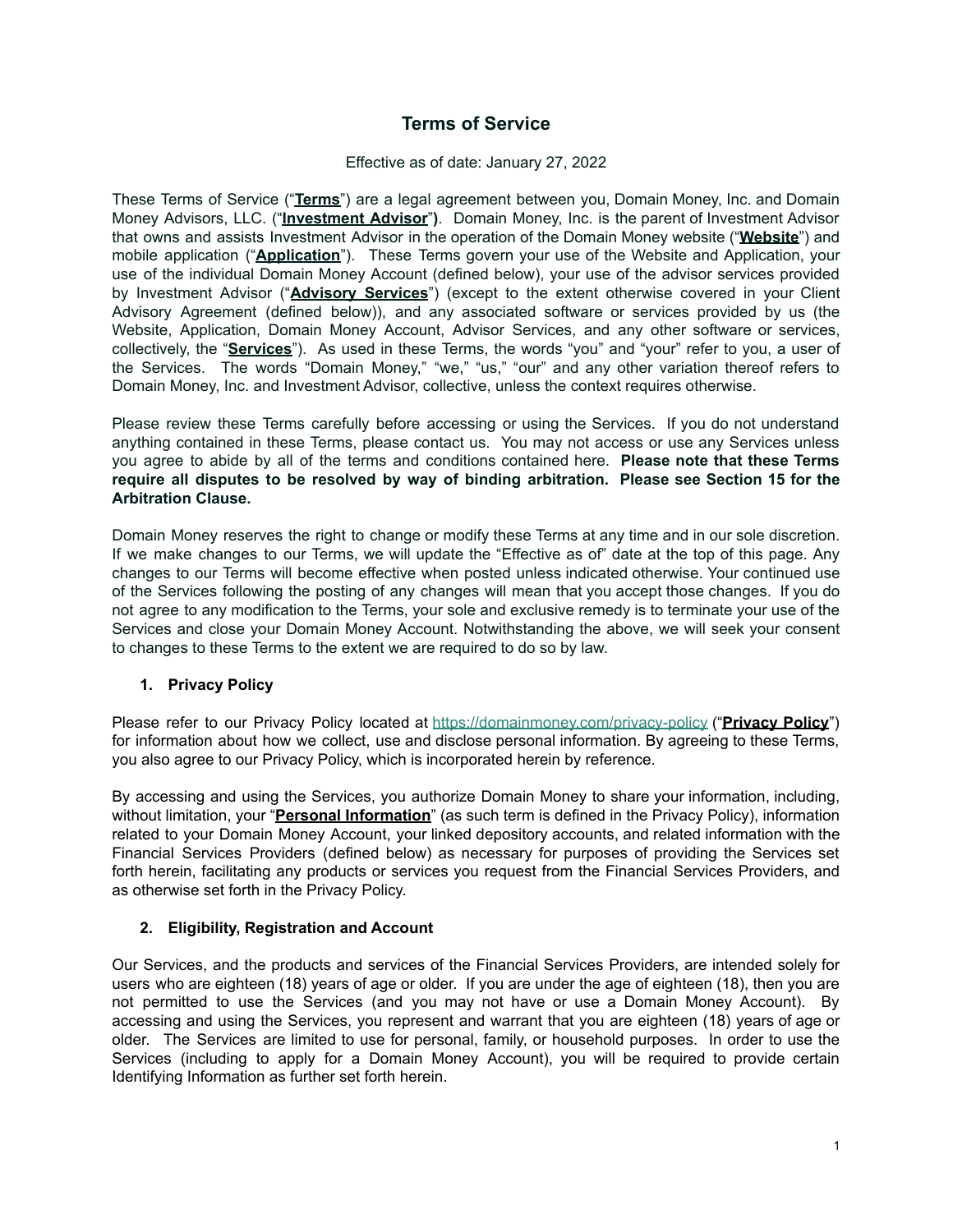# **Terms of Service**

### Effective as of date: January 27, 2022

These Terms of Service ("**Terms**") are a legal agreement between you, Domain Money, Inc. and Domain Money Advisors, LLC. ("**Investment Advisor**"**)**. Domain Money, Inc. is the parent of Investment Advisor that owns and assists Investment Advisor in the operation of the Domain Money website ("**Website**") and mobile application ("**Application**"). These Terms govern your use of the Website and Application, your use of the individual Domain Money Account (defined below), your use of the advisor services provided by Investment Advisor ("**Advisory Services**") (except to the extent otherwise covered in your Client Advisory Agreement (defined below)), and any associated software or services provided by us (the Website, Application, Domain Money Account, Advisor Services, and any other software or services, collectively, the "**Services**"). As used in these Terms, the words "you" and "your" refer to you, a user of the Services. The words "Domain Money," "we," "us," "our" and any other variation thereof refers to Domain Money, Inc. and Investment Advisor, collective, unless the context requires otherwise.

Please review these Terms carefully before accessing or using the Services. If you do not understand anything contained in these Terms, please contact us. You may not access or use any Services unless you agree to abide by all of the terms and conditions contained here. **Please note that these Terms require all disputes to be resolved by way of binding arbitration. Please see Section 15 for the Arbitration Clause.**

Domain Money reserves the right to change or modify these Terms at any time and in our sole discretion. If we make changes to our Terms, we will update the "Effective as of" date at the top of this page. Any changes to our Terms will become effective when posted unless indicated otherwise. Your continued use of the Services following the posting of any changes will mean that you accept those changes. If you do not agree to any modification to the Terms, your sole and exclusive remedy is to terminate your use of the Services and close your Domain Money Account. Notwithstanding the above, we will seek your consent to changes to these Terms to the extent we are required to do so by law.

# **1. Privacy Policy**

Please refer to our Privacy Policy located at <https://domainmoney.com/privacy-policy> ("**Privacy Policy**") for information about how we collect, use and disclose personal information. By agreeing to these Terms, you also agree to our Privacy Policy, which is incorporated herein by reference.

By accessing and using the Services, you authorize Domain Money to share your information, including, without limitation, your "**Personal Information**" (as such term is defined in the Privacy Policy), information related to your Domain Money Account, your linked depository accounts, and related information with the Financial Services Providers (defined below) as necessary for purposes of providing the Services set forth herein, facilitating any products or services you request from the Financial Services Providers, and as otherwise set forth in the Privacy Policy.

# **2. Eligibility, Registration and Account**

Our Services, and the products and services of the Financial Services Providers, are intended solely for users who are eighteen (18) years of age or older. If you are under the age of eighteen (18), then you are not permitted to use the Services (and you may not have or use a Domain Money Account). By accessing and using the Services, you represent and warrant that you are eighteen (18) years of age or older. The Services are limited to use for personal, family, or household purposes. In order to use the Services (including to apply for a Domain Money Account), you will be required to provide certain Identifying Information as further set forth herein.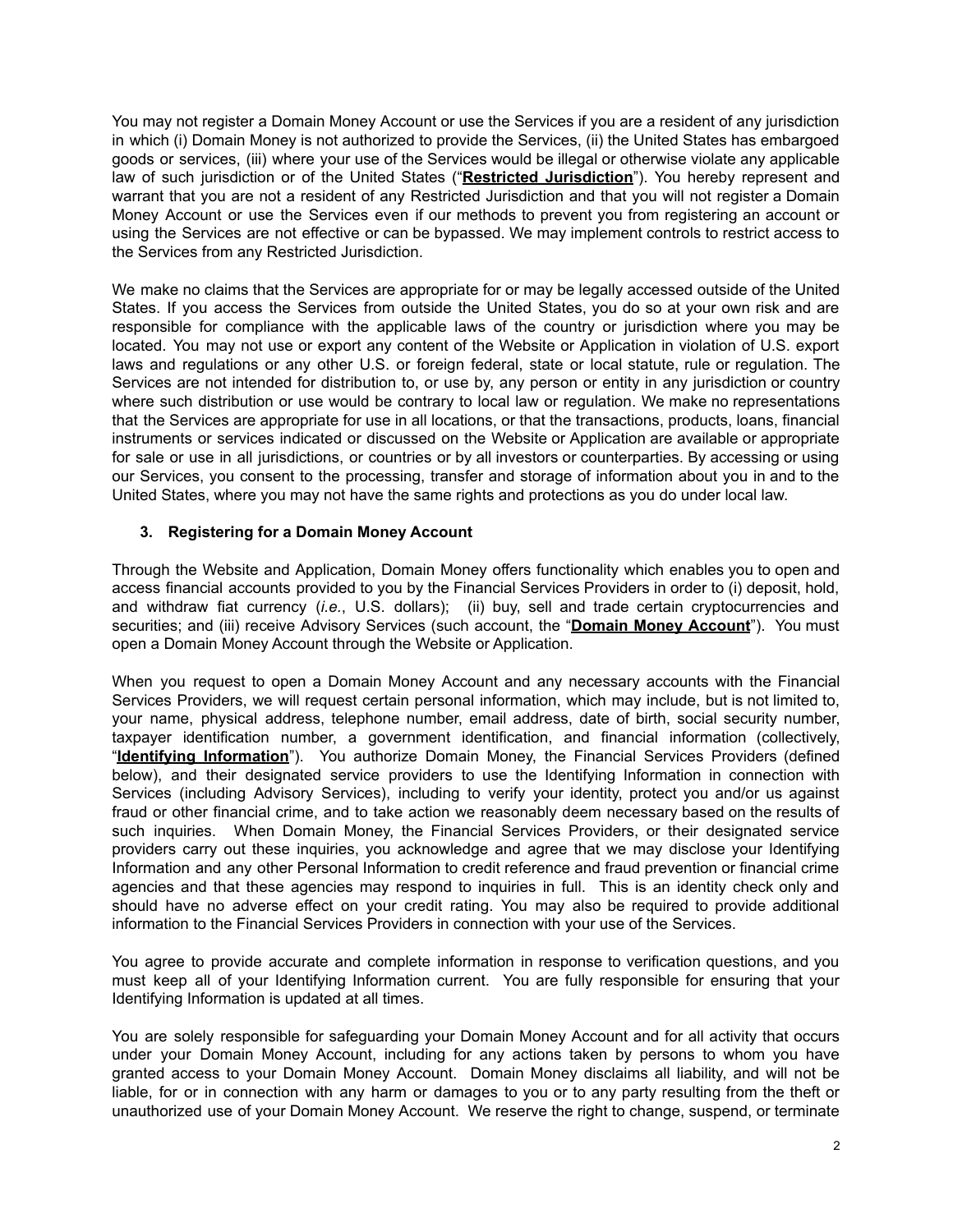You may not register a Domain Money Account or use the Services if you are a resident of any jurisdiction in which (i) Domain Money is not authorized to provide the Services, (ii) the United States has embargoed goods or services, (iii) where your use of the Services would be illegal or otherwise violate any applicable law of such jurisdiction or of the United States ("**Restricted Jurisdiction**"). You hereby represent and warrant that you are not a resident of any Restricted Jurisdiction and that you will not register a Domain Money Account or use the Services even if our methods to prevent you from registering an account or using the Services are not effective or can be bypassed. We may implement controls to restrict access to the Services from any Restricted Jurisdiction.

We make no claims that the Services are appropriate for or may be legally accessed outside of the United States. If you access the Services from outside the United States, you do so at your own risk and are responsible for compliance with the applicable laws of the country or jurisdiction where you may be located. You may not use or export any content of the Website or Application in violation of U.S. export laws and regulations or any other U.S. or foreign federal, state or local statute, rule or regulation. The Services are not intended for distribution to, or use by, any person or entity in any jurisdiction or country where such distribution or use would be contrary to local law or regulation. We make no representations that the Services are appropriate for use in all locations, or that the transactions, products, loans, financial instruments or services indicated or discussed on the Website or Application are available or appropriate for sale or use in all jurisdictions, or countries or by all investors or counterparties. By accessing or using our Services, you consent to the processing, transfer and storage of information about you in and to the United States, where you may not have the same rights and protections as you do under local law.

# **3. Registering for a Domain Money Account**

Through the Website and Application, Domain Money offers functionality which enables you to open and access financial accounts provided to you by the Financial Services Providers in order to (i) deposit, hold, and withdraw fiat currency (*i.e.*, U.S. dollars); (ii) buy, sell and trade certain cryptocurrencies and securities; and (iii) receive Advisory Services (such account, the "**Domain Money Account**"). You must open a Domain Money Account through the Website or Application.

When you request to open a Domain Money Account and any necessary accounts with the Financial Services Providers, we will request certain personal information, which may include, but is not limited to, your name, physical address, telephone number, email address, date of birth, social security number, taxpayer identification number, a government identification, and financial information (collectively, "**Identifying Information**"). You authorize Domain Money, the Financial Services Providers (defined below), and their designated service providers to use the Identifying Information in connection with Services (including Advisory Services), including to verify your identity, protect you and/or us against fraud or other financial crime, and to take action we reasonably deem necessary based on the results of such inquiries. When Domain Money, the Financial Services Providers, or their designated service providers carry out these inquiries, you acknowledge and agree that we may disclose your Identifying Information and any other Personal Information to credit reference and fraud prevention or financial crime agencies and that these agencies may respond to inquiries in full. This is an identity check only and should have no adverse effect on your credit rating. You may also be required to provide additional information to the Financial Services Providers in connection with your use of the Services.

You agree to provide accurate and complete information in response to verification questions, and you must keep all of your Identifying Information current. You are fully responsible for ensuring that your Identifying Information is updated at all times.

You are solely responsible for safeguarding your Domain Money Account and for all activity that occurs under your Domain Money Account, including for any actions taken by persons to whom you have granted access to your Domain Money Account. Domain Money disclaims all liability, and will not be liable, for or in connection with any harm or damages to you or to any party resulting from the theft or unauthorized use of your Domain Money Account. We reserve the right to change, suspend, or terminate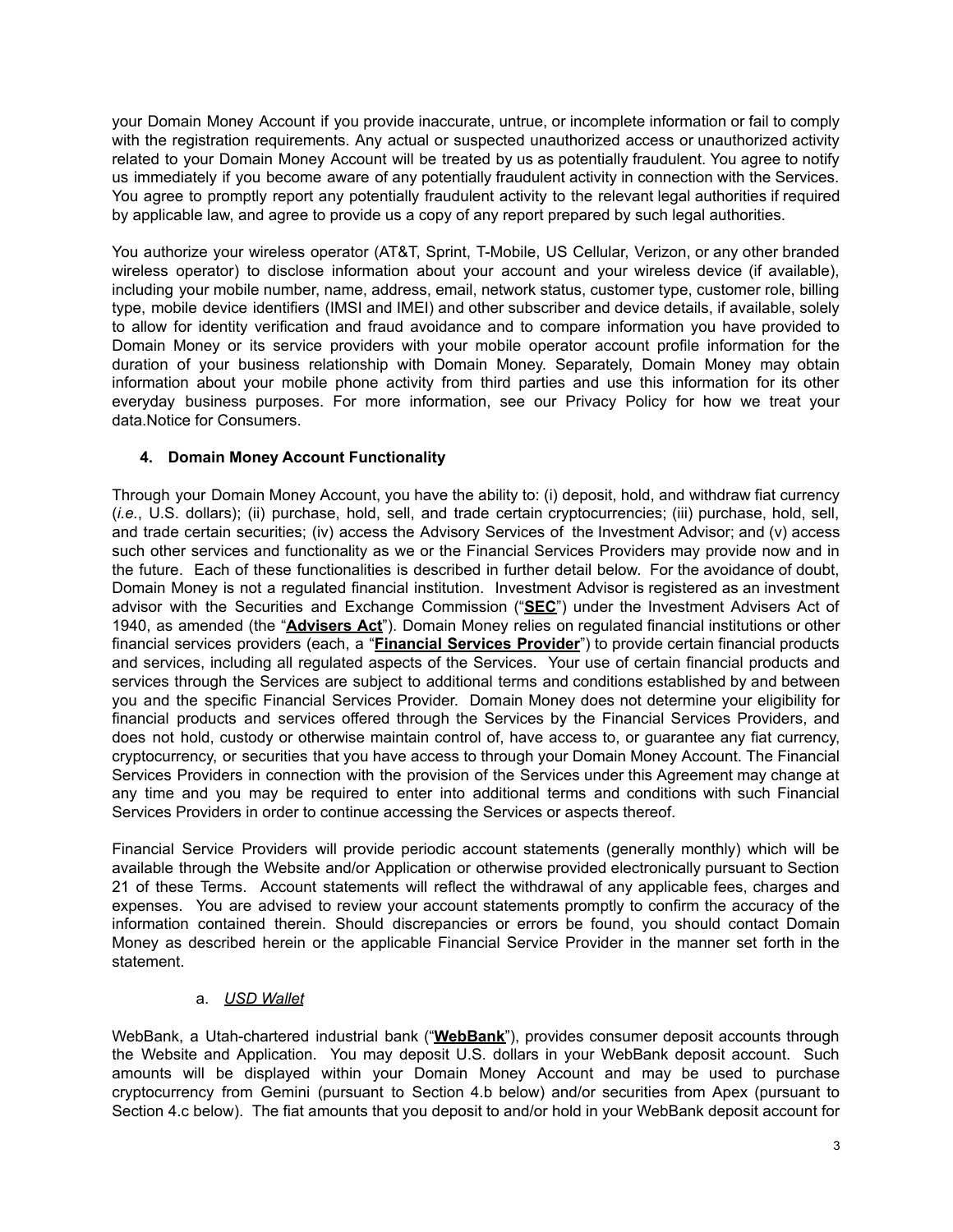your Domain Money Account if you provide inaccurate, untrue, or incomplete information or fail to comply with the registration requirements. Any actual or suspected unauthorized access or unauthorized activity related to your Domain Money Account will be treated by us as potentially fraudulent. You agree to notify us immediately if you become aware of any potentially fraudulent activity in connection with the Services. You agree to promptly report any potentially fraudulent activity to the relevant legal authorities if required by applicable law, and agree to provide us a copy of any report prepared by such legal authorities.

You authorize your wireless operator (AT&T, Sprint, T-Mobile, US Cellular, Verizon, or any other branded wireless operator) to disclose information about your account and your wireless device (if available), including your mobile number, name, address, email, network status, customer type, customer role, billing type, mobile device identifiers (IMSI and IMEI) and other subscriber and device details, if available, solely to allow for identity verification and fraud avoidance and to compare information you have provided to Domain Money or its service providers with your mobile operator account profile information for the duration of your business relationship with Domain Money. Separately, Domain Money may obtain information about your mobile phone activity from third parties and use this information for its other everyday business purposes. For more information, see our Privacy Policy for how we treat your data.Notice for Consumers.

# **4. Domain Money Account Functionality**

Through your Domain Money Account, you have the ability to: (i) deposit, hold, and withdraw fiat currency (*i.e.*, U.S. dollars); (ii) purchase, hold, sell, and trade certain cryptocurrencies; (iii) purchase, hold, sell, and trade certain securities; (iv) access the Advisory Services of the Investment Advisor; and (v) access such other services and functionality as we or the Financial Services Providers may provide now and in the future. Each of these functionalities is described in further detail below. For the avoidance of doubt, Domain Money is not a regulated financial institution. Investment Advisor is registered as an investment advisor with the Securities and Exchange Commission ("**SEC**") under the Investment Advisers Act of 1940, as amended (the "**Advisers Act**"). Domain Money relies on regulated financial institutions or other financial services providers (each, a "**Financial Services Provider**") to provide certain financial products and services, including all regulated aspects of the Services. Your use of certain financial products and services through the Services are subject to additional terms and conditions established by and between you and the specific Financial Services Provider. Domain Money does not determine your eligibility for financial products and services offered through the Services by the Financial Services Providers, and does not hold, custody or otherwise maintain control of, have access to, or guarantee any fiat currency, cryptocurrency, or securities that you have access to through your Domain Money Account. The Financial Services Providers in connection with the provision of the Services under this Agreement may change at any time and you may be required to enter into additional terms and conditions with such Financial Services Providers in order to continue accessing the Services or aspects thereof.

Financial Service Providers will provide periodic account statements (generally monthly) which will be available through the Website and/or Application or otherwise provided electronically pursuant to Section 21 of these Terms. Account statements will reflect the withdrawal of any applicable fees, charges and expenses. You are advised to review your account statements promptly to confirm the accuracy of the information contained therein. Should discrepancies or errors be found, you should contact Domain Money as described herein or the applicable Financial Service Provider in the manner set forth in the statement.

# a. *USD Wallet*

WebBank, a Utah-chartered industrial bank ("**WebBank**"), provides consumer deposit accounts through the Website and Application. You may deposit U.S. dollars in your WebBank deposit account. Such amounts will be displayed within your Domain Money Account and may be used to purchase cryptocurrency from Gemini (pursuant to Section 4.b below) and/or securities from Apex (pursuant to Section 4.c below). The fiat amounts that you deposit to and/or hold in your WebBank deposit account for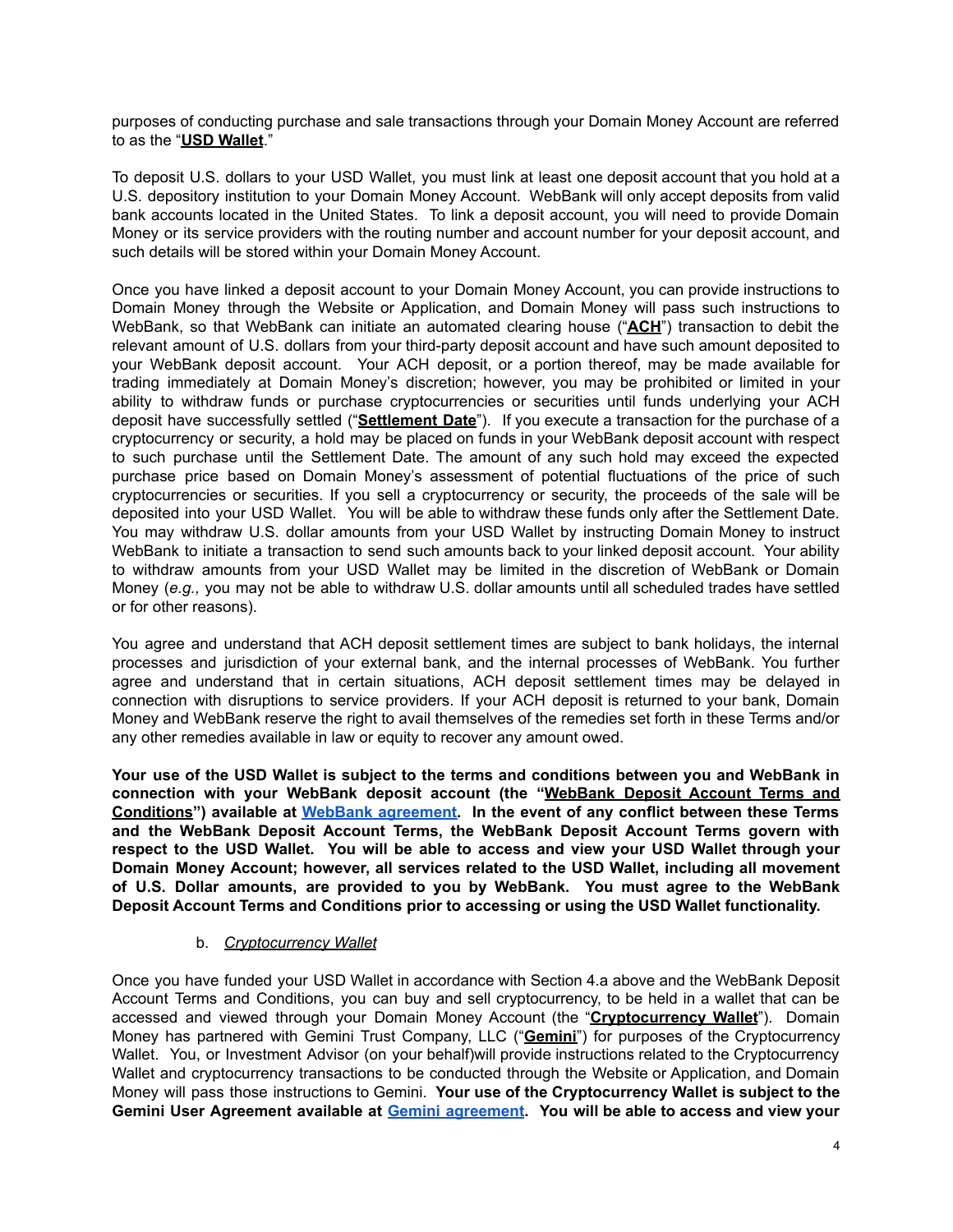purposes of conducting purchase and sale transactions through your Domain Money Account are referred to as the "**USD Wallet**."

To deposit U.S. dollars to your USD Wallet, you must link at least one deposit account that you hold at a U.S. depository institution to your Domain Money Account. WebBank will only accept deposits from valid bank accounts located in the United States. To link a deposit account, you will need to provide Domain Money or its service providers with the routing number and account number for your deposit account, and such details will be stored within your Domain Money Account.

Once you have linked a deposit account to your Domain Money Account, you can provide instructions to Domain Money through the Website or Application, and Domain Money will pass such instructions to WebBank, so that WebBank can initiate an automated clearing house ("**ACH**") transaction to debit the relevant amount of U.S. dollars from your third-party deposit account and have such amount deposited to your WebBank deposit account. Your ACH deposit, or a portion thereof, may be made available for trading immediately at Domain Money's discretion; however, you may be prohibited or limited in your ability to withdraw funds or purchase cryptocurrencies or securities until funds underlying your ACH deposit have successfully settled ("**Settlement Date**"). If you execute a transaction for the purchase of a cryptocurrency or security, a hold may be placed on funds in your WebBank deposit account with respect to such purchase until the Settlement Date. The amount of any such hold may exceed the expected purchase price based on Domain Money's assessment of potential fluctuations of the price of such cryptocurrencies or securities. If you sell a cryptocurrency or security, the proceeds of the sale will be deposited into your USD Wallet. You will be able to withdraw these funds only after the Settlement Date. You may withdraw U.S. dollar amounts from your USD Wallet by instructing Domain Money to instruct WebBank to initiate a transaction to send such amounts back to your linked deposit account. Your ability to withdraw amounts from your USD Wallet may be limited in the discretion of WebBank or Domain Money (*e.g.,* you may not be able to withdraw U.S. dollar amounts until all scheduled trades have settled or for other reasons).

You agree and understand that ACH deposit settlement times are subject to bank holidays, the internal processes and jurisdiction of your external bank, and the internal processes of WebBank. You further agree and understand that in certain situations, ACH deposit settlement times may be delayed in connection with disruptions to service providers. If your ACH deposit is returned to your bank, Domain Money and WebBank reserve the right to avail themselves of the remedies set forth in these Terms and/or any other remedies available in law or equity to recover any amount owed.

**Your use of the USD Wallet is subject to the terms and conditions between you and WebBank in connection with your WebBank deposit account (the "WebBank Deposit Account Terms and Conditions") available at WebBank [agreement.](https://domainmoney.com/service-terms#webbank) In the event of any conflict between these Terms and the WebBank Deposit Account Terms, the WebBank Deposit Account Terms govern with respect to the USD Wallet. You will be able to access and view your USD Wallet through your Domain Money Account; however, all services related to the USD Wallet, including all movement of U.S. Dollar amounts, are provided to you by WebBank. You must agree to the WebBank Deposit Account Terms and Conditions prior to accessing or using the USD Wallet functionality.**

# b. *Cryptocurrency Wallet*

Once you have funded your USD Wallet in accordance with Section 4.a above and the WebBank Deposit Account Terms and Conditions, you can buy and sell cryptocurrency, to be held in a wallet that can be accessed and viewed through your Domain Money Account (the "**Cryptocurrency Wallet**"). Domain Money has partnered with Gemini Trust Company, LLC ("**Gemini**") for purposes of the Cryptocurrency Wallet. You, or Investment Advisor (on your behalf)will provide instructions related to the Cryptocurrency Wallet and cryptocurrency transactions to be conducted through the Website or Application, and Domain Money will pass those instructions to Gemini. **Your use of the Cryptocurrency Wallet is subject to the Gemini User Agreement available at Gemini [agreement](https://domainmoney.com/service-terms#gemini). You will be able to access and view your**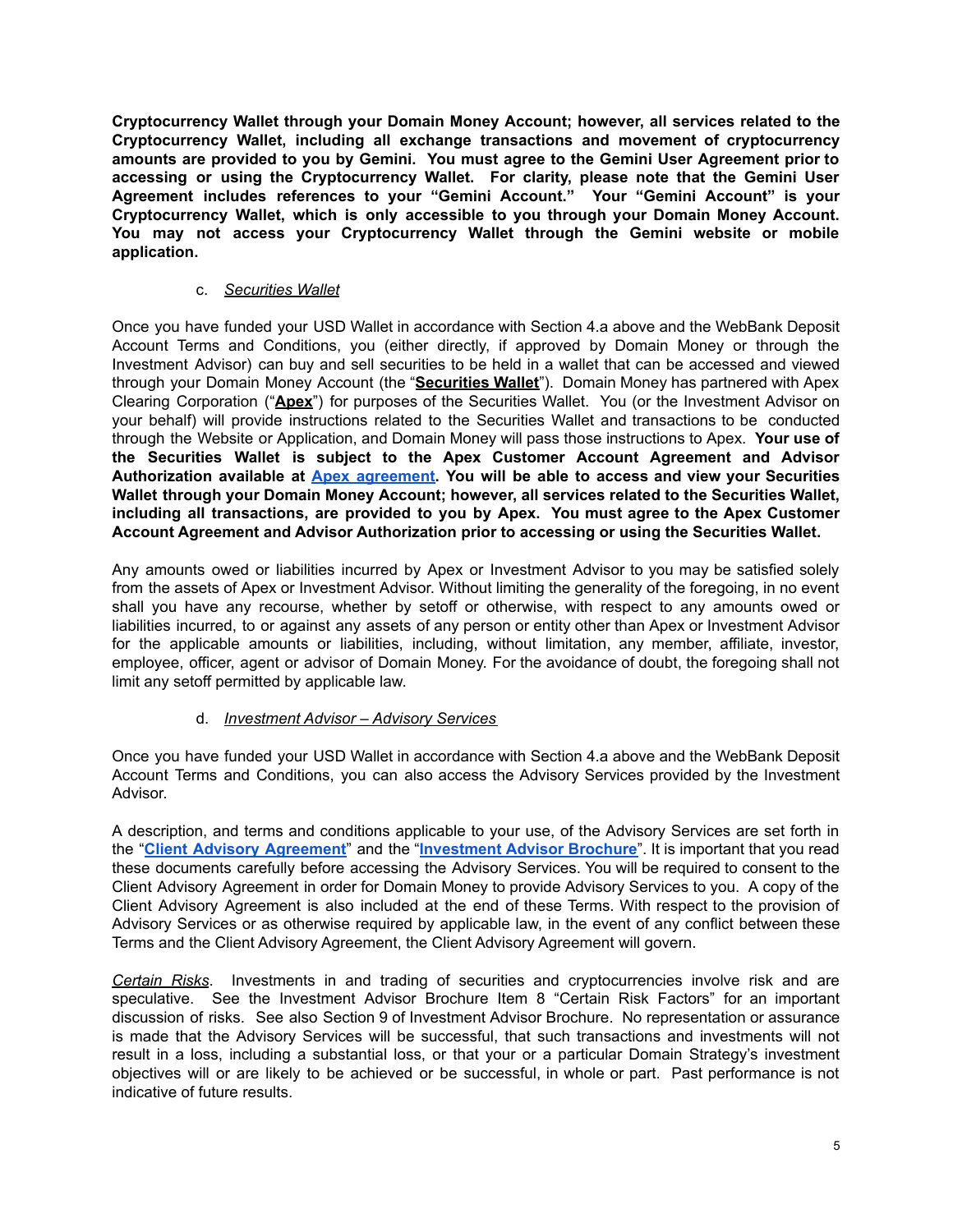**Cryptocurrency Wallet through your Domain Money Account; however, all services related to the Cryptocurrency Wallet, including all exchange transactions and movement of cryptocurrency amounts are provided to you by Gemini. You must agree to the Gemini User Agreement prior to accessing or using the Cryptocurrency Wallet. For clarity, please note that the Gemini User Agreement includes references to your "Gemini Account." Your "Gemini Account" is your Cryptocurrency Wallet, which is only accessible to you through your Domain Money Account. You may not access your Cryptocurrency Wallet through the Gemini website or mobile application.**

# c. *Securities Wallet*

Once you have funded your USD Wallet in accordance with Section 4.a above and the WebBank Deposit Account Terms and Conditions, you (either directly, if approved by Domain Money or through the Investment Advisor) can buy and sell securities to be held in a wallet that can be accessed and viewed through your Domain Money Account (the "**Securities Wallet**"). Domain Money has partnered with Apex Clearing Corporation ("**Apex**") for purposes of the Securities Wallet. You (or the Investment Advisor on your behalf) will provide instructions related to the Securities Wallet and transactions to be conducted through the Website or Application, and Domain Money will pass those instructions to Apex. **Your use of the Securities Wallet is subject to the Apex Customer Account Agreement and Advisor Authorization available at Apex [agreement.](https://domainmoney.com/service-terms#apex) You will be able to access and view your Securities Wallet through your Domain Money Account; however, all services related to the Securities Wallet, including all transactions, are provided to you by Apex. You must agree to the Apex Customer Account Agreement and Advisor Authorization prior to accessing or using the Securities Wallet.**

Any amounts owed or liabilities incurred by Apex or Investment Advisor to you may be satisfied solely from the assets of Apex or Investment Advisor. Without limiting the generality of the foregoing, in no event shall you have any recourse, whether by setoff or otherwise, with respect to any amounts owed or liabilities incurred, to or against any assets of any person or entity other than Apex or Investment Advisor for the applicable amounts or liabilities, including, without limitation, any member, affiliate, investor, employee, officer, agent or advisor of Domain Money. For the avoidance of doubt, the foregoing shall not limit any setoff permitted by applicable law.

# d. *Investment Advisor – Advisory Services*

Once you have funded your USD Wallet in accordance with Section 4.a above and the WebBank Deposit Account Terms and Conditions, you can also access the Advisory Services provided by the Investment Advisor.

A description, and terms and conditions applicable to your use, of the Advisory Services are set forth in the "**Client Advisory [Agreement](https://domainmoney.com/service-terms#domainmoney-advisors)**" and the "**[Investment](https://domainmoney.com/service-terms#domainmoney-advisors) Advisor Brochure**". It is important that you read these documents carefully before accessing the Advisory Services. You will be required to consent to the Client Advisory Agreement in order for Domain Money to provide Advisory Services to you. A copy of the Client Advisory Agreement is also included at the end of these Terms. With respect to the provision of Advisory Services or as otherwise required by applicable law, in the event of any conflict between these Terms and the Client Advisory Agreement, the Client Advisory Agreement will govern.

*Certain Risks*. Investments in and trading of securities and cryptocurrencies involve risk and are speculative. See the Investment Advisor Brochure Item 8 "Certain Risk Factors" for an important discussion of risks. See also Section 9 of Investment Advisor Brochure. No representation or assurance is made that the Advisory Services will be successful, that such transactions and investments will not result in a loss, including a substantial loss, or that your or a particular Domain Strategy's investment objectives will or are likely to be achieved or be successful, in whole or part. Past performance is not indicative of future results.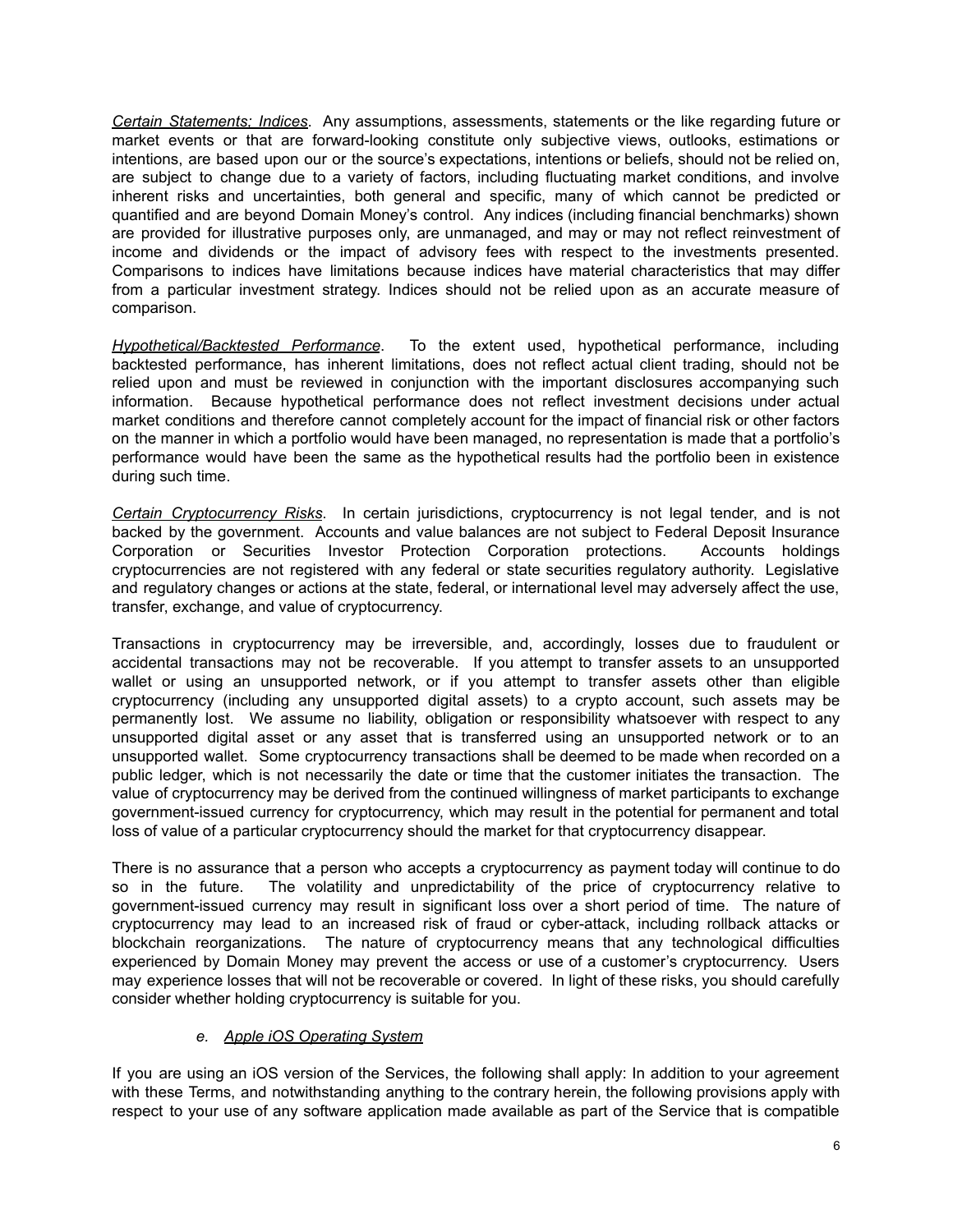*Certain Statements; Indices*. Any assumptions, assessments, statements or the like regarding future or market events or that are forward-looking constitute only subjective views, outlooks, estimations or intentions, are based upon our or the source's expectations, intentions or beliefs, should not be relied on, are subject to change due to a variety of factors, including fluctuating market conditions, and involve inherent risks and uncertainties, both general and specific, many of which cannot be predicted or quantified and are beyond Domain Money's control. Any indices (including financial benchmarks) shown are provided for illustrative purposes only, are unmanaged, and may or may not reflect reinvestment of income and dividends or the impact of advisory fees with respect to the investments presented. Comparisons to indices have limitations because indices have material characteristics that may differ from a particular investment strategy. Indices should not be relied upon as an accurate measure of comparison.

*Hypothetical/Backtested Performance*. To the extent used, hypothetical performance, including backtested performance, has inherent limitations, does not reflect actual client trading, should not be relied upon and must be reviewed in conjunction with the important disclosures accompanying such information. Because hypothetical performance does not reflect investment decisions under actual market conditions and therefore cannot completely account for the impact of financial risk or other factors on the manner in which a portfolio would have been managed, no representation is made that a portfolio's performance would have been the same as the hypothetical results had the portfolio been in existence during such time.

*Certain Cryptocurrency Risks*. In certain jurisdictions, cryptocurrency is not legal tender, and is not backed by the government. Accounts and value balances are not subject to Federal Deposit Insurance Corporation or Securities Investor Protection Corporation protections. Accounts holdings cryptocurrencies are not registered with any federal or state securities regulatory authority. Legislative and regulatory changes or actions at the state, federal, or international level may adversely affect the use, transfer, exchange, and value of cryptocurrency.

Transactions in cryptocurrency may be irreversible, and, accordingly, losses due to fraudulent or accidental transactions may not be recoverable. If you attempt to transfer assets to an unsupported wallet or using an unsupported network, or if you attempt to transfer assets other than eligible cryptocurrency (including any unsupported digital assets) to a crypto account, such assets may be permanently lost. We assume no liability, obligation or responsibility whatsoever with respect to any unsupported digital asset or any asset that is transferred using an unsupported network or to an unsupported wallet. Some cryptocurrency transactions shall be deemed to be made when recorded on a public ledger, which is not necessarily the date or time that the customer initiates the transaction. The value of cryptocurrency may be derived from the continued willingness of market participants to exchange government-issued currency for cryptocurrency, which may result in the potential for permanent and total loss of value of a particular cryptocurrency should the market for that cryptocurrency disappear.

There is no assurance that a person who accepts a cryptocurrency as payment today will continue to do so in the future. The volatility and unpredictability of the price of cryptocurrency relative to government-issued currency may result in significant loss over a short period of time. The nature of cryptocurrency may lead to an increased risk of fraud or cyber-attack, including rollback attacks or blockchain reorganizations. The nature of cryptocurrency means that any technological difficulties experienced by Domain Money may prevent the access or use of a customer's cryptocurrency. Users may experience losses that will not be recoverable or covered. In light of these risks, you should carefully consider whether holding cryptocurrency is suitable for you.

# *e. Apple iOS Operating System*

If you are using an iOS version of the Services, the following shall apply: In addition to your agreement with these Terms, and notwithstanding anything to the contrary herein, the following provisions apply with respect to your use of any software application made available as part of the Service that is compatible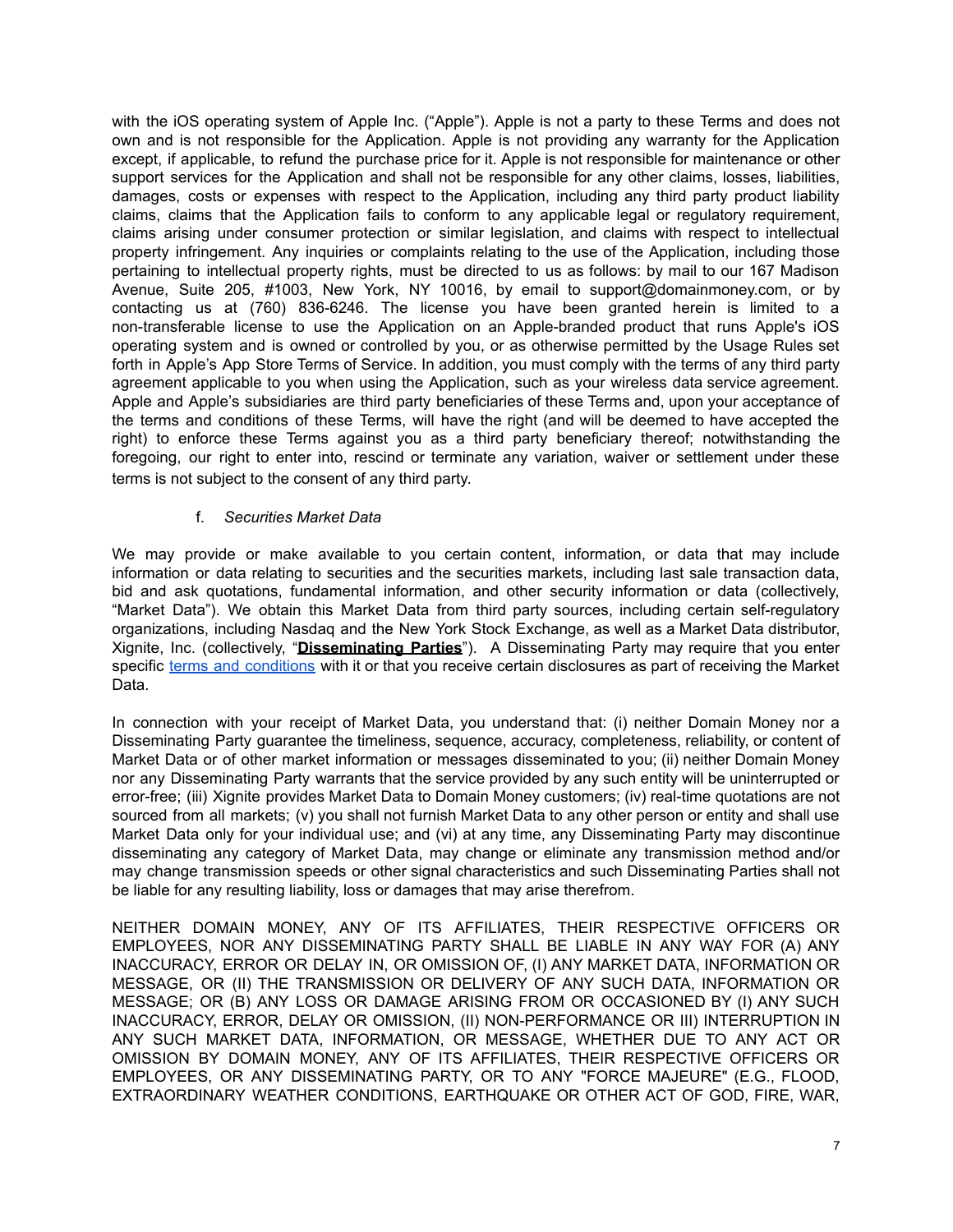with the iOS operating system of Apple Inc. ("Apple"). Apple is not a party to these Terms and does not own and is not responsible for the Application. Apple is not providing any warranty for the Application except, if applicable, to refund the purchase price for it. Apple is not responsible for maintenance or other support services for the Application and shall not be responsible for any other claims, losses, liabilities, damages, costs or expenses with respect to the Application, including any third party product liability claims, claims that the Application fails to conform to any applicable legal or regulatory requirement, claims arising under consumer protection or similar legislation, and claims with respect to intellectual property infringement. Any inquiries or complaints relating to the use of the Application, including those pertaining to intellectual property rights, must be directed to us as follows: by mail to our 167 Madison Avenue, Suite 205, #1003, New York, NY 10016, by email to support@domainmoney.com, or by contacting us at (760) 836-6246. The license you have been granted herein is limited to a non-transferable license to use the Application on an Apple-branded product that runs Apple's iOS operating system and is owned or controlled by you, or as otherwise permitted by the Usage Rules set forth in Apple's App Store Terms of Service. In addition, you must comply with the terms of any third party agreement applicable to you when using the Application, such as your wireless data service agreement. Apple and Apple's subsidiaries are third party beneficiaries of these Terms and, upon your acceptance of the terms and conditions of these Terms, will have the right (and will be deemed to have accepted the right) to enforce these Terms against you as a third party beneficiary thereof; notwithstanding the foregoing, our right to enter into, rescind or terminate any variation, waiver or settlement under these terms is not subject to the consent of any third party.

# f. *Securities Market Data*

We may provide or make available to you certain content, information, or data that may include information or data relating to securities and the securities markets, including last sale transaction data, bid and ask quotations, fundamental information, and other security information or data (collectively, "Market Data"). We obtain this Market Data from third party sources, including certain self-regulatory organizations, including Nasdaq and the New York Stock Exchange, as well as a Market Data distributor, Xignite, Inc. (collectively, "**Disseminating Parties**"). A Disseminating Party may require that you enter specific terms and [conditions](https://domainmoney.com/assets/library/exhibit-b) with it or that you receive certain disclosures as part of receiving the Market Data.

In connection with your receipt of Market Data, you understand that: (i) neither Domain Money nor a Disseminating Party guarantee the timeliness, sequence, accuracy, completeness, reliability, or content of Market Data or of other market information or messages disseminated to you; (ii) neither Domain Money nor any Disseminating Party warrants that the service provided by any such entity will be uninterrupted or error-free; (iii) Xignite provides Market Data to Domain Money customers; (iv) real-time quotations are not sourced from all markets; (v) you shall not furnish Market Data to any other person or entity and shall use Market Data only for your individual use; and (vi) at any time, any Disseminating Party may discontinue disseminating any category of Market Data, may change or eliminate any transmission method and/or may change transmission speeds or other signal characteristics and such Disseminating Parties shall not be liable for any resulting liability, loss or damages that may arise therefrom.

NEITHER DOMAIN MONEY, ANY OF ITS AFFILIATES, THEIR RESPECTIVE OFFICERS OR EMPLOYEES, NOR ANY DISSEMINATING PARTY SHALL BE LIABLE IN ANY WAY FOR (A) ANY INACCURACY, ERROR OR DELAY IN, OR OMISSION OF, (I) ANY MARKET DATA, INFORMATION OR MESSAGE, OR (II) THE TRANSMISSION OR DELIVERY OF ANY SUCH DATA, INFORMATION OR MESSAGE; OR (B) ANY LOSS OR DAMAGE ARISING FROM OR OCCASIONED BY (I) ANY SUCH INACCURACY, ERROR, DELAY OR OMISSION, (II) NON-PERFORMANCE OR III) INTERRUPTION IN ANY SUCH MARKET DATA, INFORMATION, OR MESSAGE, WHETHER DUE TO ANY ACT OR OMISSION BY DOMAIN MONEY, ANY OF ITS AFFILIATES, THEIR RESPECTIVE OFFICERS OR EMPLOYEES, OR ANY DISSEMINATING PARTY, OR TO ANY "FORCE MAJEURE" (E.G., FLOOD, EXTRAORDINARY WEATHER CONDITIONS, EARTHQUAKE OR OTHER ACT OF GOD, FIRE, WAR,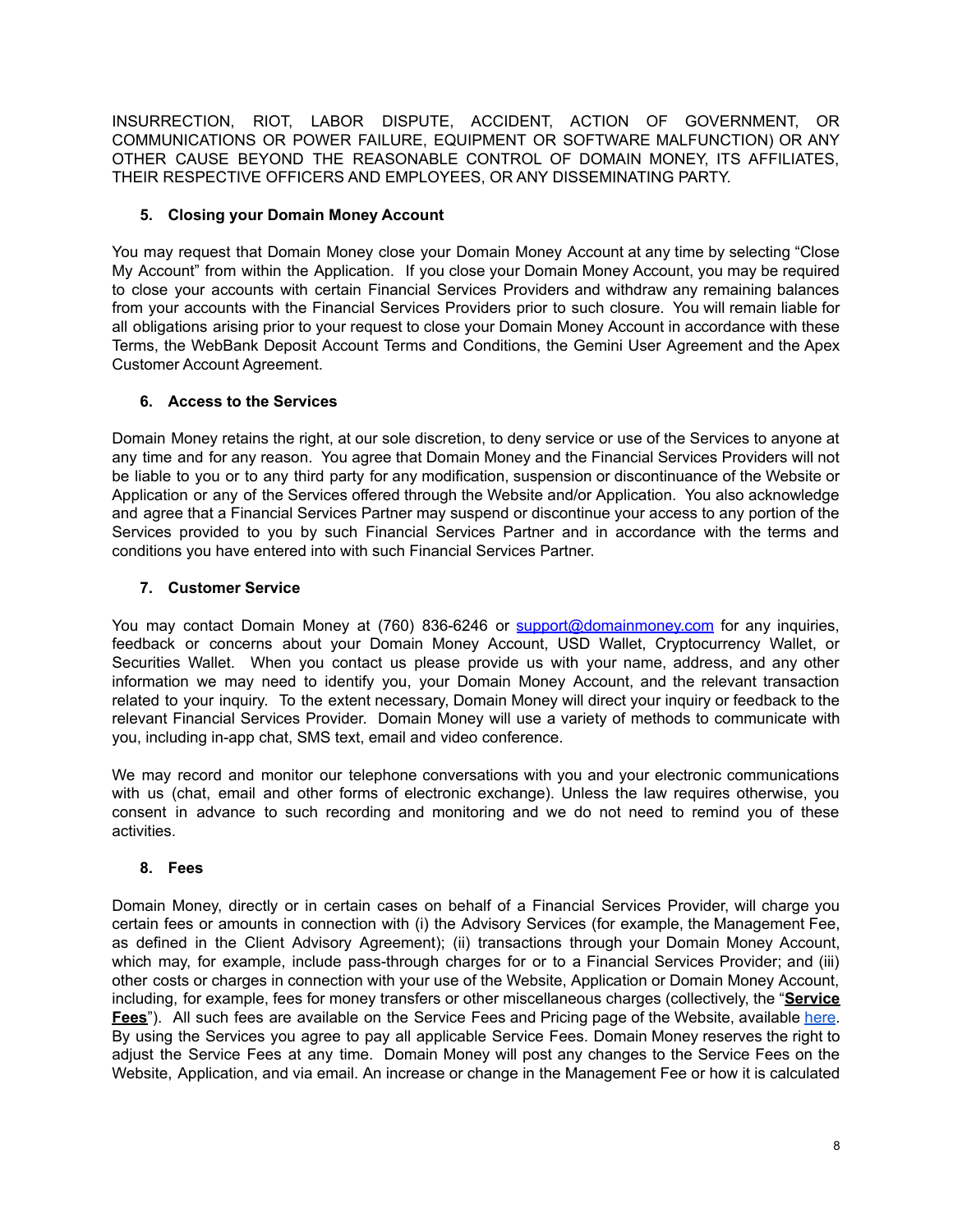INSURRECTION, RIOT, LABOR DISPUTE, ACCIDENT, ACTION OF GOVERNMENT, OR COMMUNICATIONS OR POWER FAILURE, EQUIPMENT OR SOFTWARE MALFUNCTION) OR ANY OTHER CAUSE BEYOND THE REASONABLE CONTROL OF DOMAIN MONEY, ITS AFFILIATES, THEIR RESPECTIVE OFFICERS AND EMPLOYEES, OR ANY DISSEMINATING PARTY.

# **5. Closing your Domain Money Account**

You may request that Domain Money close your Domain Money Account at any time by selecting "Close My Account" from within the Application. If you close your Domain Money Account, you may be required to close your accounts with certain Financial Services Providers and withdraw any remaining balances from your accounts with the Financial Services Providers prior to such closure. You will remain liable for all obligations arising prior to your request to close your Domain Money Account in accordance with these Terms, the WebBank Deposit Account Terms and Conditions, the Gemini User Agreement and the Apex Customer Account Agreement.

# **6. Access to the Services**

Domain Money retains the right, at our sole discretion, to deny service or use of the Services to anyone at any time and for any reason. You agree that Domain Money and the Financial Services Providers will not be liable to you or to any third party for any modification, suspension or discontinuance of the Website or Application or any of the Services offered through the Website and/or Application. You also acknowledge and agree that a Financial Services Partner may suspend or discontinue your access to any portion of the Services provided to you by such Financial Services Partner and in accordance with the terms and conditions you have entered into with such Financial Services Partner.

# **7. Customer Service**

You may contact Domain Money at (760) 836-6246 or [support@domainmoney.com](mailto:support@domainmoney.com) for any inquiries, feedback or concerns about your Domain Money Account, USD Wallet, Cryptocurrency Wallet, or Securities Wallet. When you contact us please provide us with your name, address, and any other information we may need to identify you, your Domain Money Account, and the relevant transaction related to your inquiry. To the extent necessary, Domain Money will direct your inquiry or feedback to the relevant Financial Services Provider. Domain Money will use a variety of methods to communicate with you, including in-app chat, SMS text, email and video conference.

We may record and monitor our telephone conversations with you and your electronic communications with us (chat, email and other forms of electronic exchange). Unless the law requires otherwise, you consent in advance to such recording and monitoring and we do not need to remind you of these activities.

# **8. Fees**

Domain Money, directly or in certain cases on behalf of a Financial Services Provider, will charge you certain fees or amounts in connection with (i) the Advisory Services (for example, the Management Fee, as defined in the Client Advisory Agreement); (ii) transactions through your Domain Money Account, which may, for example, include pass-through charges for or to a Financial Services Provider; and (iii) other costs or charges in connection with your use of the Website, Application or Domain Money Account, including, for example, fees for money transfers or other miscellaneous charges (collectively, the "**Service Fees**"). All such fees are available on the Service Fees and Pricing page of the Website, available [here](http://www.domainmoney.com). By using the Services you agree to pay all applicable Service Fees. Domain Money reserves the right to adjust the Service Fees at any time. Domain Money will post any changes to the Service Fees on the Website, Application, and via email. An increase or change in the Management Fee or how it is calculated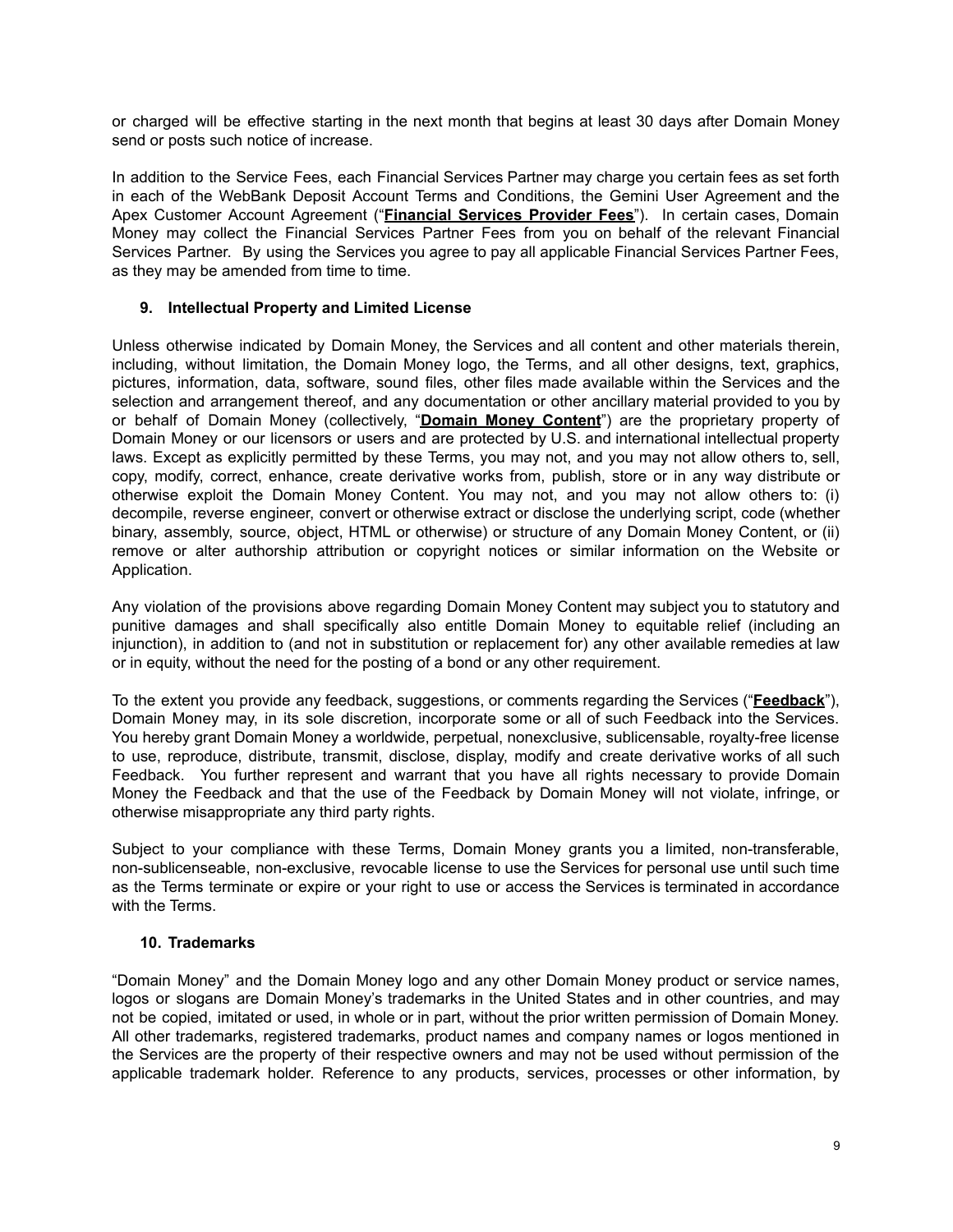or charged will be effective starting in the next month that begins at least 30 days after Domain Money send or posts such notice of increase.

In addition to the Service Fees, each Financial Services Partner may charge you certain fees as set forth in each of the WebBank Deposit Account Terms and Conditions, the Gemini User Agreement and the Apex Customer Account Agreement ("**Financial Services Provider Fees**"). In certain cases, Domain Money may collect the Financial Services Partner Fees from you on behalf of the relevant Financial Services Partner. By using the Services you agree to pay all applicable Financial Services Partner Fees, as they may be amended from time to time.

#### **9. Intellectual Property and Limited License**

Unless otherwise indicated by Domain Money, the Services and all content and other materials therein, including, without limitation, the Domain Money logo, the Terms, and all other designs, text, graphics, pictures, information, data, software, sound files, other files made available within the Services and the selection and arrangement thereof, and any documentation or other ancillary material provided to you by or behalf of Domain Money (collectively, "**Domain Money Content**") are the proprietary property of Domain Money or our licensors or users and are protected by U.S. and international intellectual property laws. Except as explicitly permitted by these Terms, you may not, and you may not allow others to, sell, copy, modify, correct, enhance, create derivative works from, publish, store or in any way distribute or otherwise exploit the Domain Money Content. You may not, and you may not allow others to: (i) decompile, reverse engineer, convert or otherwise extract or disclose the underlying script, code (whether binary, assembly, source, object, HTML or otherwise) or structure of any Domain Money Content, or (ii) remove or alter authorship attribution or copyright notices or similar information on the Website or Application.

Any violation of the provisions above regarding Domain Money Content may subject you to statutory and punitive damages and shall specifically also entitle Domain Money to equitable relief (including an injunction), in addition to (and not in substitution or replacement for) any other available remedies at law or in equity, without the need for the posting of a bond or any other requirement.

To the extent you provide any feedback, suggestions, or comments regarding the Services ("**Feedback**"), Domain Money may, in its sole discretion, incorporate some or all of such Feedback into the Services. You hereby grant Domain Money a worldwide, perpetual, nonexclusive, sublicensable, royalty-free license to use, reproduce, distribute, transmit, disclose, display, modify and create derivative works of all such Feedback. You further represent and warrant that you have all rights necessary to provide Domain Money the Feedback and that the use of the Feedback by Domain Money will not violate, infringe, or otherwise misappropriate any third party rights.

Subject to your compliance with these Terms, Domain Money grants you a limited, non-transferable, non-sublicenseable, non-exclusive, revocable license to use the Services for personal use until such time as the Terms terminate or expire or your right to use or access the Services is terminated in accordance with the Terms.

# **10. Trademarks**

"Domain Money" and the Domain Money logo and any other Domain Money product or service names, logos or slogans are Domain Money's trademarks in the United States and in other countries, and may not be copied, imitated or used, in whole or in part, without the prior written permission of Domain Money. All other trademarks, registered trademarks, product names and company names or logos mentioned in the Services are the property of their respective owners and may not be used without permission of the applicable trademark holder. Reference to any products, services, processes or other information, by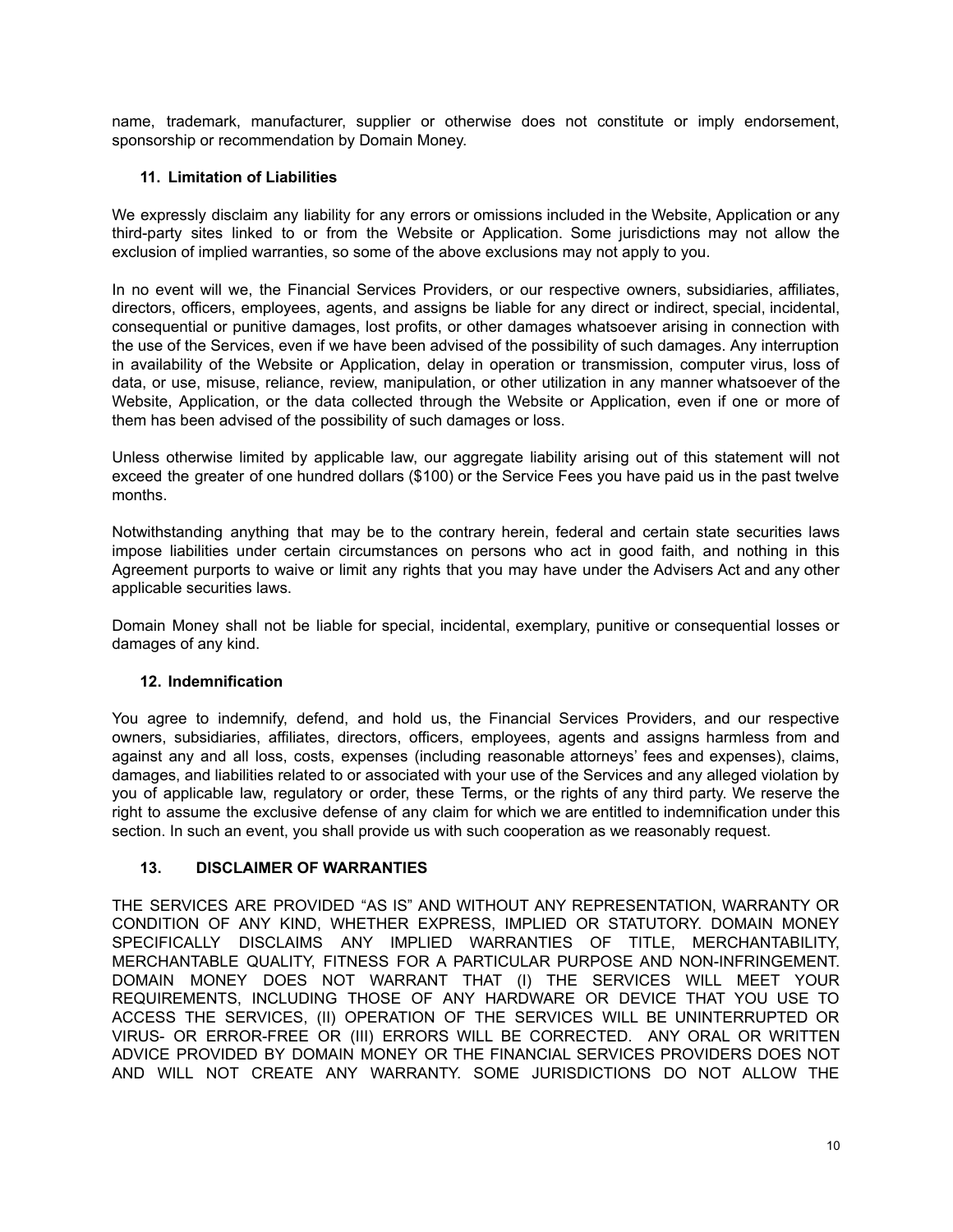name, trademark, manufacturer, supplier or otherwise does not constitute or imply endorsement, sponsorship or recommendation by Domain Money.

# **11. Limitation of Liabilities**

We expressly disclaim any liability for any errors or omissions included in the Website, Application or any third-party sites linked to or from the Website or Application. Some jurisdictions may not allow the exclusion of implied warranties, so some of the above exclusions may not apply to you.

In no event will we, the Financial Services Providers, or our respective owners, subsidiaries, affiliates, directors, officers, employees, agents, and assigns be liable for any direct or indirect, special, incidental, consequential or punitive damages, lost profits, or other damages whatsoever arising in connection with the use of the Services, even if we have been advised of the possibility of such damages. Any interruption in availability of the Website or Application, delay in operation or transmission, computer virus, loss of data, or use, misuse, reliance, review, manipulation, or other utilization in any manner whatsoever of the Website, Application, or the data collected through the Website or Application, even if one or more of them has been advised of the possibility of such damages or loss.

Unless otherwise limited by applicable law, our aggregate liability arising out of this statement will not exceed the greater of one hundred dollars (\$100) or the Service Fees you have paid us in the past twelve months.

Notwithstanding anything that may be to the contrary herein, federal and certain state securities laws impose liabilities under certain circumstances on persons who act in good faith, and nothing in this Agreement purports to waive or limit any rights that you may have under the Advisers Act and any other applicable securities laws.

Domain Money shall not be liable for special, incidental, exemplary, punitive or consequential losses or damages of any kind.

# **12. Indemnification**

You agree to indemnify, defend, and hold us, the Financial Services Providers, and our respective owners, subsidiaries, affiliates, directors, officers, employees, agents and assigns harmless from and against any and all loss, costs, expenses (including reasonable attorneys' fees and expenses), claims, damages, and liabilities related to or associated with your use of the Services and any alleged violation by you of applicable law, regulatory or order, these Terms, or the rights of any third party. We reserve the right to assume the exclusive defense of any claim for which we are entitled to indemnification under this section. In such an event, you shall provide us with such cooperation as we reasonably request.

# **13. DISCLAIMER OF WARRANTIES**

THE SERVICES ARE PROVIDED "AS IS" AND WITHOUT ANY REPRESENTATION, WARRANTY OR CONDITION OF ANY KIND, WHETHER EXPRESS, IMPLIED OR STATUTORY. DOMAIN MONEY SPECIFICALLY DISCLAIMS ANY IMPLIED WARRANTIES OF TITLE, MERCHANTABILITY, MERCHANTABLE QUALITY, FITNESS FOR A PARTICULAR PURPOSE AND NON-INFRINGEMENT. DOMAIN MONEY DOES NOT WARRANT THAT (I) THE SERVICES WILL MEET YOUR REQUIREMENTS, INCLUDING THOSE OF ANY HARDWARE OR DEVICE THAT YOU USE TO ACCESS THE SERVICES, (II) OPERATION OF THE SERVICES WILL BE UNINTERRUPTED OR VIRUS- OR ERROR-FREE OR (III) ERRORS WILL BE CORRECTED. ANY ORAL OR WRITTEN ADVICE PROVIDED BY DOMAIN MONEY OR THE FINANCIAL SERVICES PROVIDERS DOES NOT AND WILL NOT CREATE ANY WARRANTY. SOME JURISDICTIONS DO NOT ALLOW THE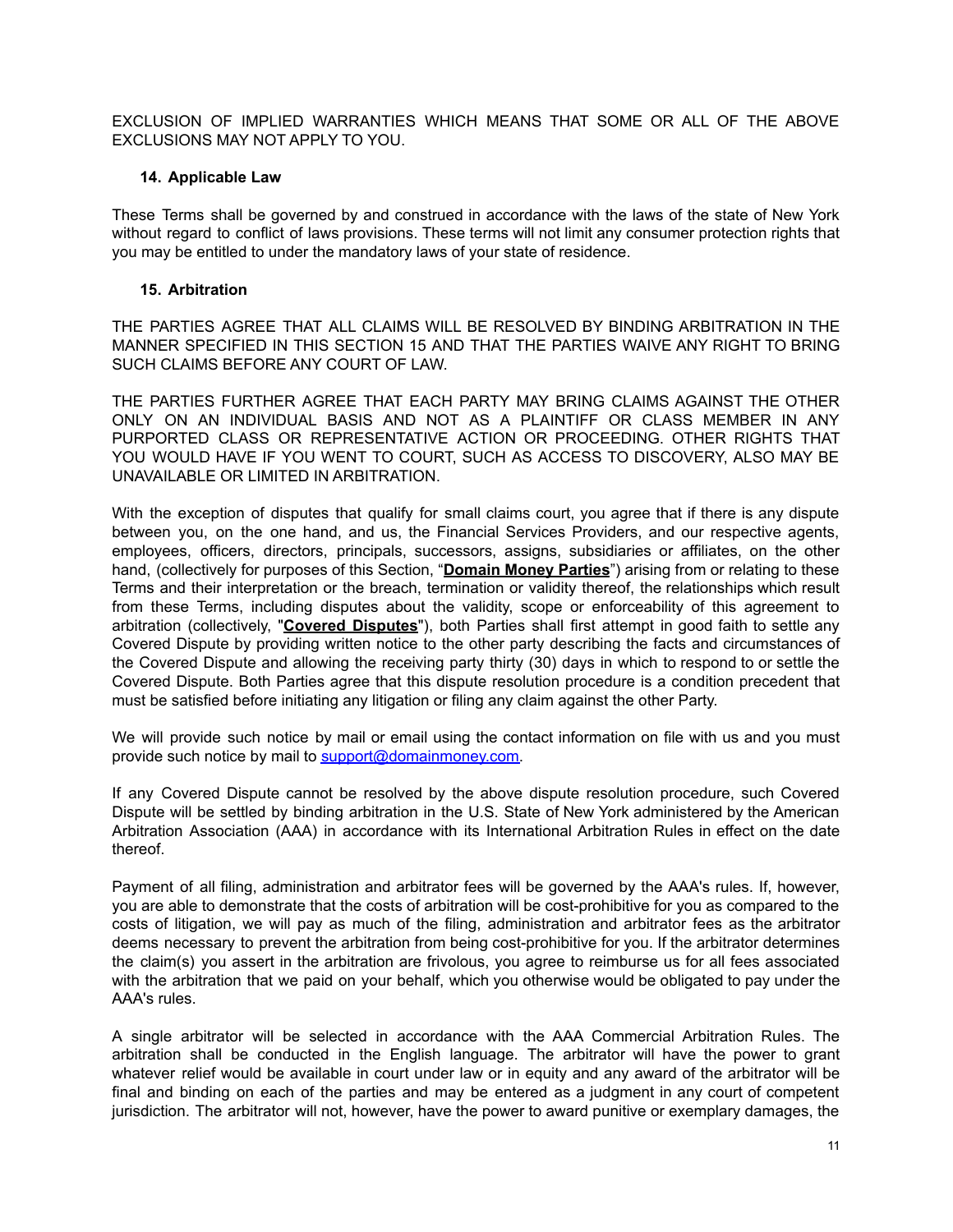EXCLUSION OF IMPLIED WARRANTIES WHICH MEANS THAT SOME OR ALL OF THE ABOVE EXCLUSIONS MAY NOT APPLY TO YOU.

### **14. Applicable Law**

These Terms shall be governed by and construed in accordance with the laws of the state of New York without regard to conflict of laws provisions. These terms will not limit any consumer protection rights that you may be entitled to under the mandatory laws of your state of residence.

### **15. Arbitration**

THE PARTIES AGREE THAT ALL CLAIMS WILL BE RESOLVED BY BINDING ARBITRATION IN THE MANNER SPECIFIED IN THIS SECTION 15 AND THAT THE PARTIES WAIVE ANY RIGHT TO BRING SUCH CLAIMS BEFORE ANY COURT OF LAW.

THE PARTIES FURTHER AGREE THAT EACH PARTY MAY BRING CLAIMS AGAINST THE OTHER ONLY ON AN INDIVIDUAL BASIS AND NOT AS A PLAINTIFF OR CLASS MEMBER IN ANY PURPORTED CLASS OR REPRESENTATIVE ACTION OR PROCEEDING. OTHER RIGHTS THAT YOU WOULD HAVE IF YOU WENT TO COURT, SUCH AS ACCESS TO DISCOVERY, ALSO MAY BE UNAVAILABLE OR LIMITED IN ARBITRATION.

With the exception of disputes that qualify for small claims court, you agree that if there is any dispute between you, on the one hand, and us, the Financial Services Providers, and our respective agents, employees, officers, directors, principals, successors, assigns, subsidiaries or affiliates, on the other hand, (collectively for purposes of this Section, "**Domain Money Parties**") arising from or relating to these Terms and their interpretation or the breach, termination or validity thereof, the relationships which result from these Terms, including disputes about the validity, scope or enforceability of this agreement to arbitration (collectively, "**Covered Disputes**"), both Parties shall first attempt in good faith to settle any Covered Dispute by providing written notice to the other party describing the facts and circumstances of the Covered Dispute and allowing the receiving party thirty (30) days in which to respond to or settle the Covered Dispute. Both Parties agree that this dispute resolution procedure is a condition precedent that must be satisfied before initiating any litigation or filing any claim against the other Party.

We will provide such notice by mail or email using the contact information on file with us and you must provide such notice by mail to [support@domainmoney.com.](mailto:support@domainmoney.com)

If any Covered Dispute cannot be resolved by the above dispute resolution procedure, such Covered Dispute will be settled by binding arbitration in the U.S. State of New York administered by the American Arbitration Association (AAA) in accordance with its International Arbitration Rules in effect on the date thereof.

Payment of all filing, administration and arbitrator fees will be governed by the AAA's rules. If, however, you are able to demonstrate that the costs of arbitration will be cost-prohibitive for you as compared to the costs of litigation, we will pay as much of the filing, administration and arbitrator fees as the arbitrator deems necessary to prevent the arbitration from being cost-prohibitive for you. If the arbitrator determines the claim(s) you assert in the arbitration are frivolous, you agree to reimburse us for all fees associated with the arbitration that we paid on your behalf, which you otherwise would be obligated to pay under the AAA's rules.

A single arbitrator will be selected in accordance with the AAA Commercial Arbitration Rules. The arbitration shall be conducted in the English language. The arbitrator will have the power to grant whatever relief would be available in court under law or in equity and any award of the arbitrator will be final and binding on each of the parties and may be entered as a judgment in any court of competent jurisdiction. The arbitrator will not, however, have the power to award punitive or exemplary damages, the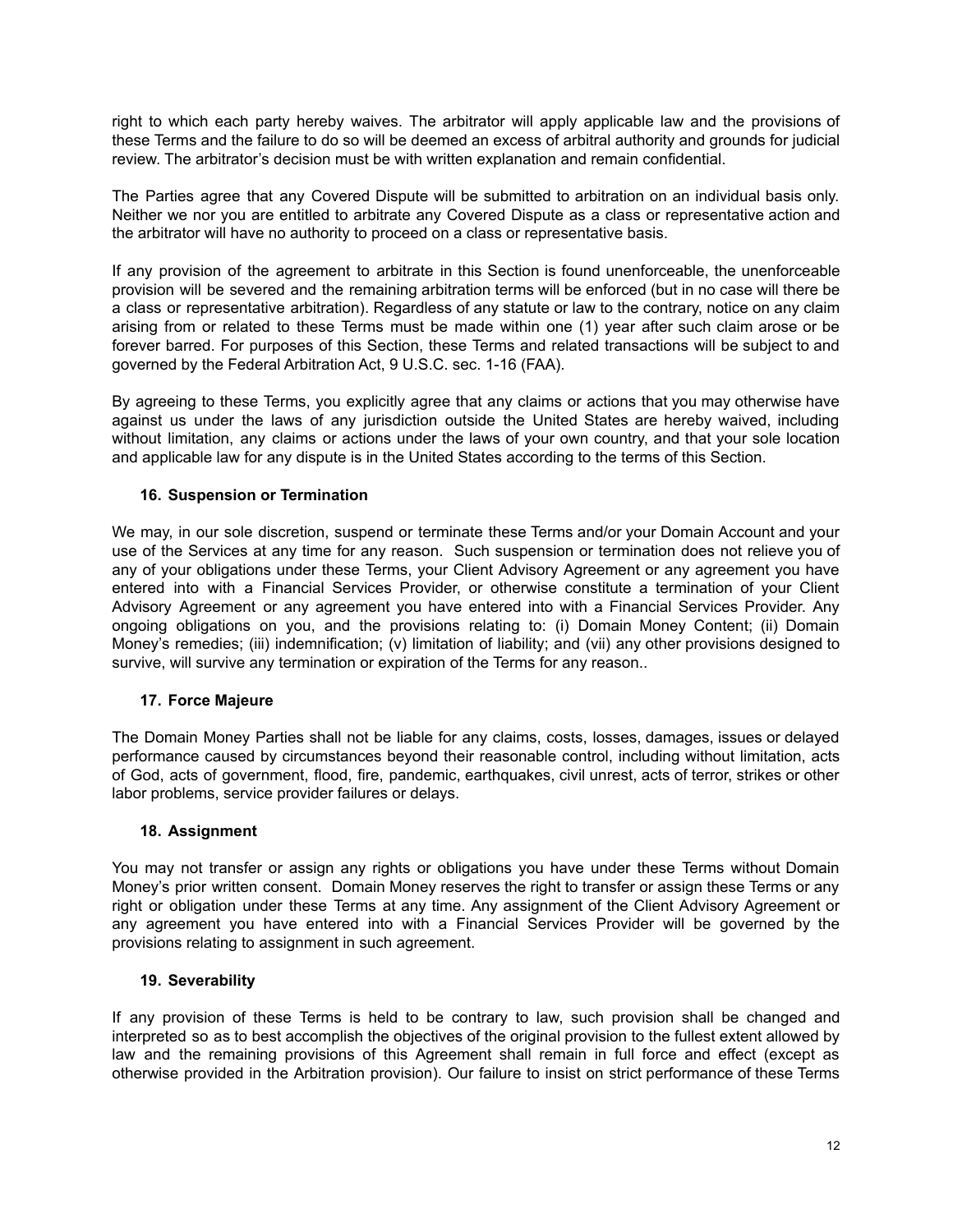right to which each party hereby waives. The arbitrator will apply applicable law and the provisions of these Terms and the failure to do so will be deemed an excess of arbitral authority and grounds for judicial review. The arbitrator's decision must be with written explanation and remain confidential.

The Parties agree that any Covered Dispute will be submitted to arbitration on an individual basis only. Neither we nor you are entitled to arbitrate any Covered Dispute as a class or representative action and the arbitrator will have no authority to proceed on a class or representative basis.

If any provision of the agreement to arbitrate in this Section is found unenforceable, the unenforceable provision will be severed and the remaining arbitration terms will be enforced (but in no case will there be a class or representative arbitration). Regardless of any statute or law to the contrary, notice on any claim arising from or related to these Terms must be made within one (1) year after such claim arose or be forever barred. For purposes of this Section, these Terms and related transactions will be subject to and governed by the Federal Arbitration Act, 9 U.S.C. sec. 1-16 (FAA).

By agreeing to these Terms, you explicitly agree that any claims or actions that you may otherwise have against us under the laws of any jurisdiction outside the United States are hereby waived, including without limitation, any claims or actions under the laws of your own country, and that your sole location and applicable law for any dispute is in the United States according to the terms of this Section.

# **16. Suspension or Termination**

We may, in our sole discretion, suspend or terminate these Terms and/or your Domain Account and your use of the Services at any time for any reason. Such suspension or termination does not relieve you of any of your obligations under these Terms, your Client Advisory Agreement or any agreement you have entered into with a Financial Services Provider, or otherwise constitute a termination of your Client Advisory Agreement or any agreement you have entered into with a Financial Services Provider. Any ongoing obligations on you, and the provisions relating to: (i) Domain Money Content; (ii) Domain Money's remedies; (iii) indemnification; (v) limitation of liability; and (vii) any other provisions designed to survive, will survive any termination or expiration of the Terms for any reason..

# **17. Force Majeure**

The Domain Money Parties shall not be liable for any claims, costs, losses, damages, issues or delayed performance caused by circumstances beyond their reasonable control, including without limitation, acts of God, acts of government, flood, fire, pandemic, earthquakes, civil unrest, acts of terror, strikes or other labor problems, service provider failures or delays.

# **18. Assignment**

You may not transfer or assign any rights or obligations you have under these Terms without Domain Money's prior written consent. Domain Money reserves the right to transfer or assign these Terms or any right or obligation under these Terms at any time. Any assignment of the Client Advisory Agreement or any agreement you have entered into with a Financial Services Provider will be governed by the provisions relating to assignment in such agreement.

# **19. Severability**

If any provision of these Terms is held to be contrary to law, such provision shall be changed and interpreted so as to best accomplish the objectives of the original provision to the fullest extent allowed by law and the remaining provisions of this Agreement shall remain in full force and effect (except as otherwise provided in the Arbitration provision). Our failure to insist on strict performance of these Terms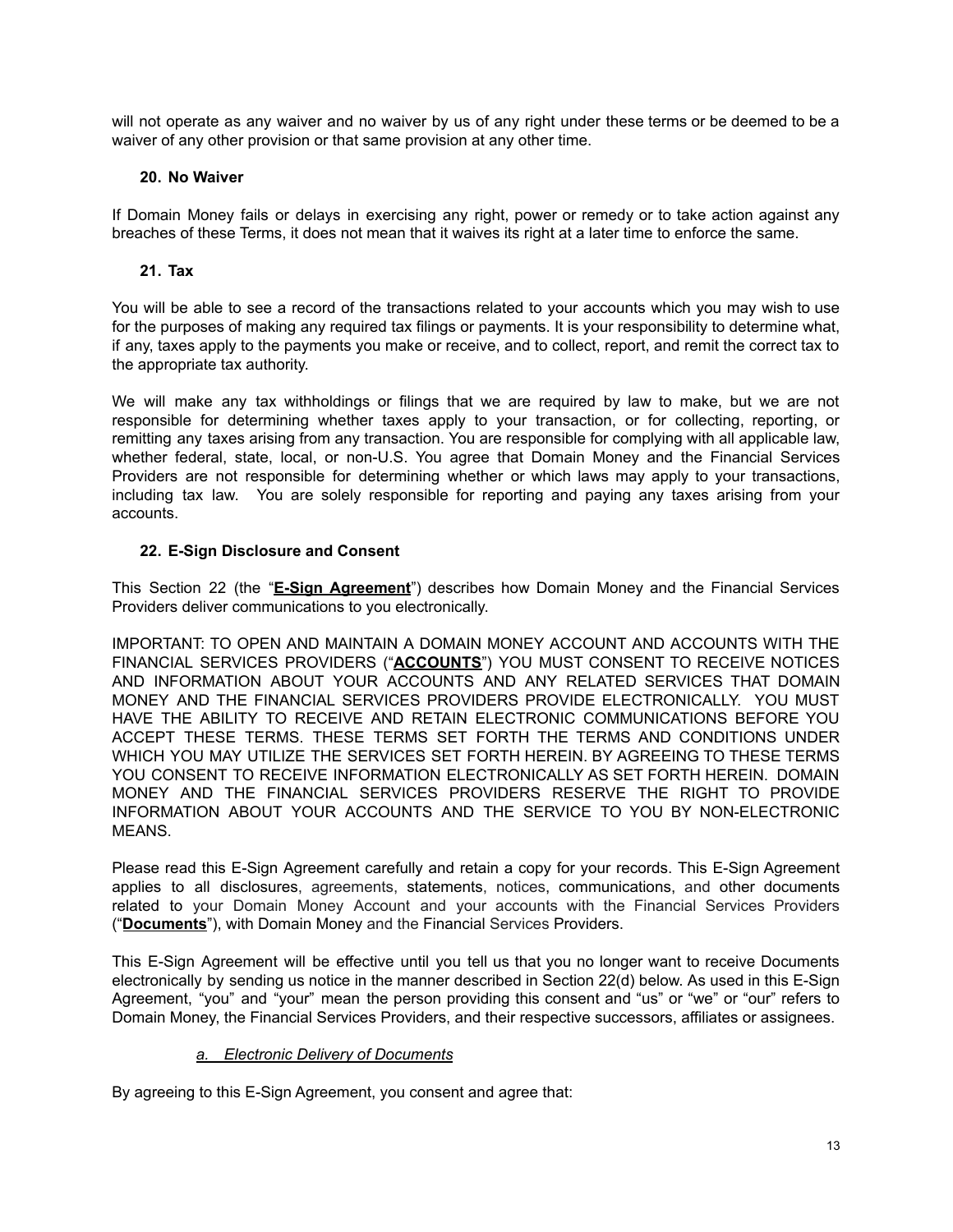will not operate as any waiver and no waiver by us of any right under these terms or be deemed to be a waiver of any other provision or that same provision at any other time.

# **20. No Waiver**

If Domain Money fails or delays in exercising any right, power or remedy or to take action against any breaches of these Terms, it does not mean that it waives its right at a later time to enforce the same.

# **21. Tax**

You will be able to see a record of the transactions related to your accounts which you may wish to use for the purposes of making any required tax filings or payments. It is your responsibility to determine what, if any, taxes apply to the payments you make or receive, and to collect, report, and remit the correct tax to the appropriate tax authority.

We will make any tax withholdings or filings that we are required by law to make, but we are not responsible for determining whether taxes apply to your transaction, or for collecting, reporting, or remitting any taxes arising from any transaction. You are responsible for complying with all applicable law, whether federal, state, local, or non-U.S. You agree that Domain Money and the Financial Services Providers are not responsible for determining whether or which laws may apply to your transactions, including tax law. You are solely responsible for reporting and paying any taxes arising from your accounts.

# **22. E-Sign Disclosure and Consent**

This Section 22 (the "**E-Sign Agreement**") describes how Domain Money and the Financial Services Providers deliver communications to you electronically.

IMPORTANT: TO OPEN AND MAINTAIN A DOMAIN MONEY ACCOUNT AND ACCOUNTS WITH THE FINANCIAL SERVICES PROVIDERS ("**ACCOUNTS**") YOU MUST CONSENT TO RECEIVE NOTICES AND INFORMATION ABOUT YOUR ACCOUNTS AND ANY RELATED SERVICES THAT DOMAIN MONEY AND THE FINANCIAL SERVICES PROVIDERS PROVIDE ELECTRONICALLY. YOU MUST HAVE THE ABILITY TO RECEIVE AND RETAIN ELECTRONIC COMMUNICATIONS BEFORE YOU ACCEPT THESE TERMS. THESE TERMS SET FORTH THE TERMS AND CONDITIONS UNDER WHICH YOU MAY UTILIZE THE SERVICES SET FORTH HEREIN. BY AGREEING TO THESE TERMS YOU CONSENT TO RECEIVE INFORMATION ELECTRONICALLY AS SET FORTH HEREIN. DOMAIN MONEY AND THE FINANCIAL SERVICES PROVIDERS RESERVE THE RIGHT TO PROVIDE INFORMATION ABOUT YOUR ACCOUNTS AND THE SERVICE TO YOU BY NON-ELECTRONIC MEANS.

Please read this E-Sign Agreement carefully and retain a copy for your records. This E-Sign Agreement applies to all disclosures, agreements, statements, notices, communications, and other documents related to your Domain Money Account and your accounts with the Financial Services Providers ("**Documents**"), with Domain Money and the Financial Services Providers.

This E-Sign Agreement will be effective until you tell us that you no longer want to receive Documents electronically by sending us notice in the manner described in Section 22(d) below. As used in this E-Sign Agreement, "you" and "your" mean the person providing this consent and "us" or "we" or "our" refers to Domain Money, the Financial Services Providers, and their respective successors, affiliates or assignees.

# *a. Electronic Delivery of Documents*

By agreeing to this E-Sign Agreement, you consent and agree that: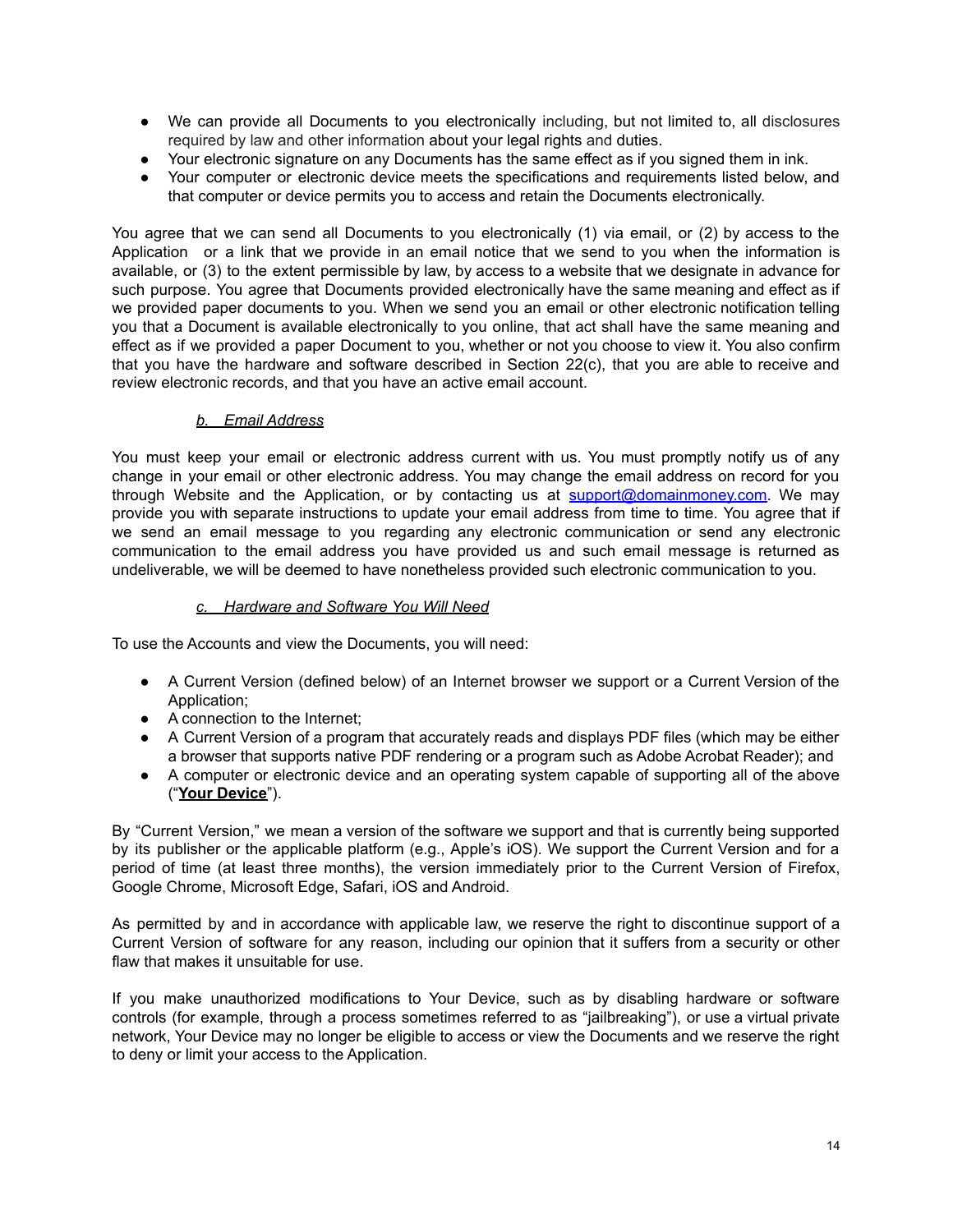- **●** We can provide all Documents to you electronically including, but not limited to, all disclosures required by law and other information about your legal rights and duties.
- **●** Your electronic signature on any Documents has the same effect as if you signed them in ink.
- **●** Your computer or electronic device meets the specifications and requirements listed below, and that computer or device permits you to access and retain the Documents electronically.

You agree that we can send all Documents to you electronically (1) via email, or (2) by access to the Application or a link that we provide in an email notice that we send to you when the information is available, or (3) to the extent permissible by law, by access to a website that we designate in advance for such purpose. You agree that Documents provided electronically have the same meaning and effect as if we provided paper documents to you. When we send you an email or other electronic notification telling you that a Document is available electronically to you online, that act shall have the same meaning and effect as if we provided a paper Document to you, whether or not you choose to view it. You also confirm that you have the hardware and software described in Section 22(c), that you are able to receive and review electronic records, and that you have an active email account.

# *b. Email Address*

You must keep your email or electronic address current with us. You must promptly notify us of any change in your email or other electronic address. You may change the email address on record for you through Website and the Application, or by contacting us at [support@domainmoney.com.](mailto:support@domainmoney.com) We may provide you with separate instructions to update your email address from time to time. You agree that if we send an email message to you regarding any electronic communication or send any electronic communication to the email address you have provided us and such email message is returned as undeliverable, we will be deemed to have nonetheless provided such electronic communication to you.

### *c. Hardware and Software You Will Need*

To use the Accounts and view the Documents, you will need:

- A Current Version (defined below) of an Internet browser we support or a Current Version of the Application;
- A connection to the Internet:
- A Current Version of a program that accurately reads and displays PDF files (which may be either a browser that supports native PDF rendering or a program such as Adobe Acrobat Reader); and
- A computer or electronic device and an operating system capable of supporting all of the above ("**Your Device**").

By "Current Version," we mean a version of the software we support and that is currently being supported by its publisher or the applicable platform (e.g., Apple's iOS). We support the Current Version and for a period of time (at least three months), the version immediately prior to the Current Version of Firefox, Google Chrome, Microsoft Edge, Safari, iOS and Android.

As permitted by and in accordance with applicable law, we reserve the right to discontinue support of a Current Version of software for any reason, including our opinion that it suffers from a security or other flaw that makes it unsuitable for use.

If you make unauthorized modifications to Your Device, such as by disabling hardware or software controls (for example, through a process sometimes referred to as "jailbreaking"), or use a virtual private network, Your Device may no longer be eligible to access or view the Documents and we reserve the right to deny or limit your access to the Application.